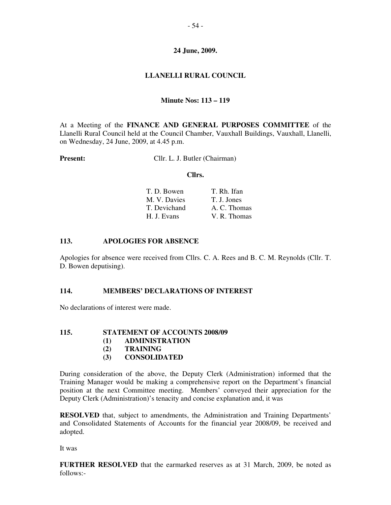# **24 June, 2009.**

# **LLANELLI RURAL COUNCIL**

# **Minute Nos: 113 – 119**

At a Meeting of the **FINANCE AND GENERAL PURPOSES COMMITTEE** of the Llanelli Rural Council held at the Council Chamber, Vauxhall Buildings, Vauxhall, Llanelli, on Wednesday, 24 June, 2009, at 4.45 p.m.

**Present:** Cllr. L. J. Butler (Chairman)

#### **Cllrs.**

| T. D. Bowen  | T. Rh. Ifan  |  |  |
|--------------|--------------|--|--|
| M. V. Davies | T. J. Jones  |  |  |
| T. Devichand | A. C. Thomas |  |  |
| H. J. Evans  | V. R. Thomas |  |  |

# **113. APOLOGIES FOR ABSENCE**

Apologies for absence were received from Cllrs. C. A. Rees and B. C. M. Reynolds (Cllr. T. D. Bowen deputising).

# **114. MEMBERS' DECLARATIONS OF INTEREST**

No declarations of interest were made.

# **115. STATEMENT OF ACCOUNTS 2008/09**

- **(1) ADMINISTRATION**
- **(2) TRAINING**
- **(3) CONSOLIDATED**

During consideration of the above, the Deputy Clerk (Administration) informed that the Training Manager would be making a comprehensive report on the Department's financial position at the next Committee meeting. Members' conveyed their appreciation for the Deputy Clerk (Administration)'s tenacity and concise explanation and, it was

**RESOLVED** that, subject to amendments, the Administration and Training Departments' and Consolidated Statements of Accounts for the financial year 2008/09, be received and adopted.

It was

**FURTHER RESOLVED** that the earmarked reserves as at 31 March, 2009, be noted as follows:-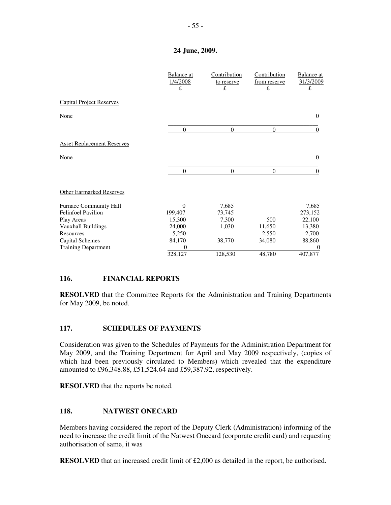### **24 June, 2009.**

|                                   | Balance at<br>1/4/2008<br>£ | Contribution<br>to reserve<br>£ | Contribution<br>from reserve<br>£ | <b>Balance</b> at<br>31/3/2009<br>£ |
|-----------------------------------|-----------------------------|---------------------------------|-----------------------------------|-------------------------------------|
| <b>Capital Project Reserves</b>   |                             |                                 |                                   |                                     |
| None                              |                             |                                 |                                   | $\mathbf{0}$                        |
|                                   | $\theta$                    | $\theta$                        | $\theta$                          | $\theta$                            |
| <b>Asset Replacement Reserves</b> |                             |                                 |                                   |                                     |
| None                              |                             |                                 |                                   | $\Omega$                            |
|                                   | $\Omega$                    | $\Omega$                        | $\Omega$                          | $\Omega$                            |
| <b>Other Earmarked Reserves</b>   |                             |                                 |                                   |                                     |
| <b>Furnace Community Hall</b>     | $\Omega$                    | 7,685                           |                                   | 7,685                               |
| <b>Felinfoel Pavilion</b>         | 199,407                     | 73,745                          |                                   | 273,152                             |
| Play Areas                        | 15,300                      | 7,300                           | 500                               | 22,100                              |
| Vauxhall Buildings                | 24,000                      | 1,030                           | 11,650                            | 13,380                              |
| Resources                         | 5,250                       |                                 | 2,550                             | 2,700                               |
| Capital Schemes                   | 84,170                      | 38,770                          | 34,080                            | 88,860                              |
| <b>Training Department</b>        | $\Omega$                    |                                 |                                   |                                     |
|                                   | 328,127                     | 128,530                         | 48,780                            | <u>407,877</u>                      |

# **116. FINANCIAL REPORTS**

**RESOLVED** that the Committee Reports for the Administration and Training Departments for May 2009, be noted.

# **117. SCHEDULES OF PAYMENTS**

Consideration was given to the Schedules of Payments for the Administration Department for May 2009, and the Training Department for April and May 2009 respectively, (copies of which had been previously circulated to Members) which revealed that the expenditure amounted to £96,348.88, £51,524.64 and £59,387.92, respectively.

**RESOLVED** that the reports be noted.

# **118. NATWEST ONECARD**

Members having considered the report of the Deputy Clerk (Administration) informing of the need to increase the credit limit of the Natwest Onecard (corporate credit card) and requesting authorisation of same, it was

**RESOLVED** that an increased credit limit of £2,000 as detailed in the report, be authorised.